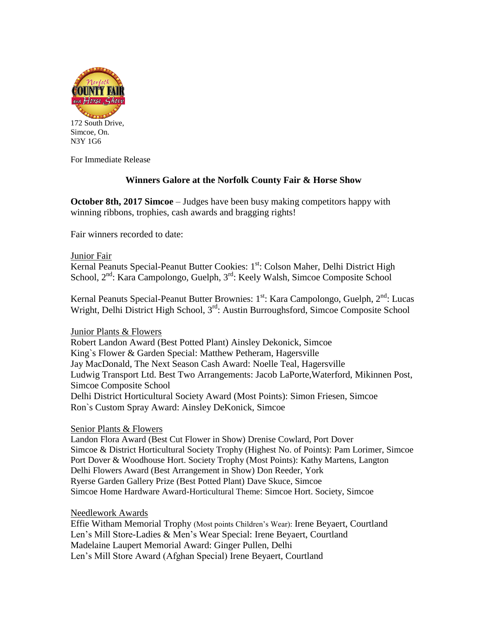

Simcoe, On. N3Y 1G6

For Immediate Release

# **Winners Galore at the Norfolk County Fair & Horse Show**

**October 8th, 2017 Simcoe** – Judges have been busy making competitors happy with winning ribbons, trophies, cash awards and bragging rights!

Fair winners recorded to date:

### Junior Fair

Kernal Peanuts Special-Peanut Butter Cookies: 1<sup>st</sup>: Colson Maher, Delhi District High School,  $2^{nd}$ : Kara Campolongo, Guelph,  $3^{rd}$ : Keely Walsh, Simcoe Composite School

Kernal Peanuts Special-Peanut Butter Brownies: 1<sup>st</sup>: Kara Campolongo, Guelph, 2<sup>nd</sup>: Lucas Wright, Delhi District High School, 3<sup>rd</sup>: Austin Burroughsford, Simcoe Composite School

# Junior Plants & Flowers

Robert Landon Award (Best Potted Plant) Ainsley Dekonick, Simcoe King`s Flower & Garden Special: Matthew Petheram, Hagersville Jay MacDonald, The Next Season Cash Award: Noelle Teal, Hagersville Ludwig Transport Ltd. Best Two Arrangements: Jacob LaPorte,Waterford, Mikinnen Post, Simcoe Composite School Delhi District Horticultural Society Award (Most Points): Simon Friesen, Simcoe Ron`s Custom Spray Award: Ainsley DeKonick, Simcoe

# Senior Plants & Flowers

Landon Flora Award (Best Cut Flower in Show) Drenise Cowlard, Port Dover Simcoe & District Horticultural Society Trophy (Highest No. of Points): Pam Lorimer, Simcoe Port Dover & Woodhouse Hort. Society Trophy (Most Points): Kathy Martens, Langton Delhi Flowers Award (Best Arrangement in Show) Don Reeder, York Ryerse Garden Gallery Prize (Best Potted Plant) Dave Skuce, Simcoe Simcoe Home Hardware Award-Horticultural Theme: Simcoe Hort. Society, Simcoe

# Needlework Awards

Effie Witham Memorial Trophy (Most points Children's Wear): Irene Beyaert, Courtland Len's Mill Store-Ladies & Men's Wear Special: Irene Beyaert, Courtland Madelaine Laupert Memorial Award: Ginger Pullen, Delhi Len's Mill Store Award (Afghan Special) Irene Beyaert, Courtland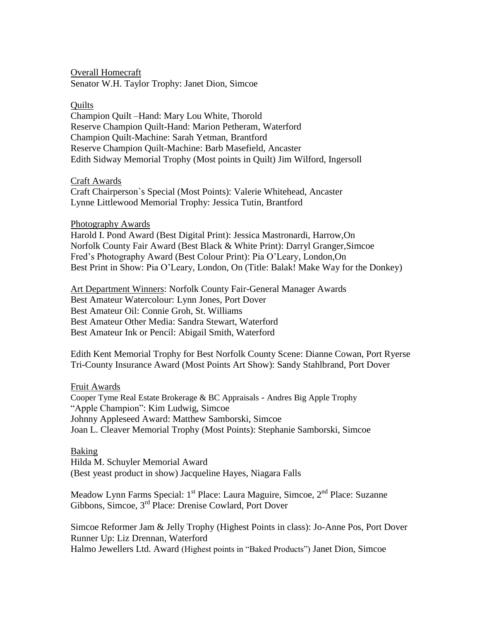Overall Homecraft Senator W.H. Taylor Trophy: Janet Dion, Simcoe

#### **Quilts**

Champion Quilt –Hand: Mary Lou White, Thorold Reserve Champion Quilt-Hand: Marion Petheram, Waterford Champion Quilt-Machine: Sarah Yetman, Brantford Reserve Champion Quilt-Machine: Barb Masefield, Ancaster Edith Sidway Memorial Trophy (Most points in Quilt) Jim Wilford, Ingersoll

#### Craft Awards

Craft Chairperson`s Special (Most Points): Valerie Whitehead, Ancaster Lynne Littlewood Memorial Trophy: Jessica Tutin, Brantford

#### Photography Awards

Harold I. Pond Award (Best Digital Print): Jessica Mastronardi, Harrow,On Norfolk County Fair Award (Best Black & White Print): Darryl Granger,Simcoe Fred's Photography Award (Best Colour Print): Pia O'Leary, London,On Best Print in Show: Pia O'Leary, London, On (Title: Balak! Make Way for the Donkey)

Art Department Winners: Norfolk County Fair-General Manager Awards Best Amateur Watercolour: Lynn Jones, Port Dover Best Amateur Oil: Connie Groh, St. Williams Best Amateur Other Media: Sandra Stewart, Waterford Best Amateur Ink or Pencil: Abigail Smith, Waterford

Edith Kent Memorial Trophy for Best Norfolk County Scene: Dianne Cowan, Port Ryerse Tri-County Insurance Award (Most Points Art Show): Sandy Stahlbrand, Port Dover

#### Fruit Awards

Cooper Tyme Real Estate Brokerage & BC Appraisals - Andres Big Apple Trophy "Apple Champion": Kim Ludwig, Simcoe Johnny Appleseed Award: Matthew Samborski, Simcoe Joan L. Cleaver Memorial Trophy (Most Points): Stephanie Samborski, Simcoe

#### Baking

Hilda M. Schuyler Memorial Award (Best yeast product in show) Jacqueline Hayes, Niagara Falls

Meadow Lynn Farms Special: 1<sup>st</sup> Place: Laura Maguire, Simcoe, 2<sup>nd</sup> Place: Suzanne Gibbons, Simcoe, 3rd Place: Drenise Cowlard, Port Dover

Simcoe Reformer Jam & Jelly Trophy (Highest Points in class): Jo-Anne Pos, Port Dover Runner Up: Liz Drennan, Waterford Halmo Jewellers Ltd. Award (Highest points in "Baked Products") Janet Dion, Simcoe